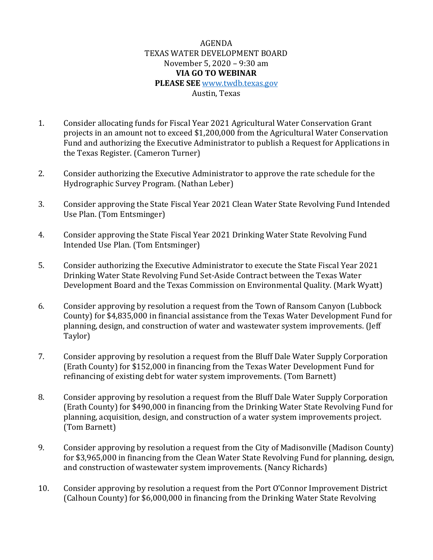## AGENDA TEXAS WATER DEVELOPMENT BOARD November 5, 2020 – 9:30 am **VIA GO TO WEBINAR PLEASE SEE** [www.twdb.texas.gov](http://www.twdb.texas.gov/) Austin, Texas

- 1. Consider allocating funds for Fiscal Year 2021 Agricultural Water Conservation Grant projects in an amount not to exceed \$1,200,000 from the Agricultural Water Conservation Fund and authorizing the Executive Administrator to publish a Request for Applications in the Texas Register. (Cameron Turner)
- 2. Consider authorizing the Executive Administrator to approve the rate schedule for the Hydrographic Survey Program. (Nathan Leber)
- 3. Consider approving the State Fiscal Year 2021 Clean Water State Revolving Fund Intended Use Plan. (Tom Entsminger)
- 4. Consider approving the State Fiscal Year 2021 Drinking Water State Revolving Fund Intended Use Plan. (Tom Entsminger)
- 5. Consider authorizing the Executive Administrator to execute the State Fiscal Year 2021 Drinking Water State Revolving Fund Set-Aside Contract between the Texas Water Development Board and the Texas Commission on Environmental Quality. (Mark Wyatt)
- 6. Consider approving by resolution a request from the Town of Ransom Canyon (Lubbock County) for \$4,835,000 in financial assistance from the Texas Water Development Fund for planning, design, and construction of water and wastewater system improvements. (Jeff Taylor)
- 7. Consider approving by resolution a request from the Bluff Dale Water Supply Corporation (Erath County) for \$152,000 in financing from the Texas Water Development Fund for refinancing of existing debt for water system improvements. (Tom Barnett)
- 8. Consider approving by resolution a request from the Bluff Dale Water Supply Corporation (Erath County) for \$490,000 in financing from the Drinking Water State Revolving Fund for planning, acquisition, design, and construction of a water system improvements project. (Tom Barnett)
- 9. Consider approving by resolution a request from the City of Madisonville (Madison County) for \$3,965,000 in financing from the Clean Water State Revolving Fund for planning, design, and construction of wastewater system improvements. (Nancy Richards)
- 10. Consider approving by resolution a request from the Port O'Connor Improvement District (Calhoun County) for \$6,000,000 in financing from the Drinking Water State Revolving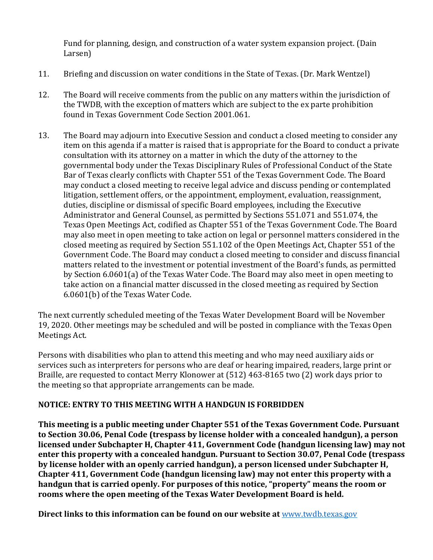Fund for planning, design, and construction of a water system expansion project. (Dain Larsen)

- 11. Briefing and discussion on water conditions in the State of Texas. (Dr. Mark Wentzel)
- 12. The Board will receive comments from the public on any matters within the jurisdiction of the TWDB, with the exception of matters which are subject to the ex parte prohibition found in Texas Government Code Section 2001.061.
- 13. The Board may adjourn into Executive Session and conduct a closed meeting to consider any item on this agenda if a matter is raised that is appropriate for the Board to conduct a private consultation with its attorney on a matter in which the duty of the attorney to the governmental body under the Texas Disciplinary Rules of Professional Conduct of the State Bar of Texas clearly conflicts with Chapter 551 of the Texas Government Code. The Board may conduct a closed meeting to receive legal advice and discuss pending or contemplated litigation, settlement offers, or the appointment, employment, evaluation, reassignment, duties, discipline or dismissal of specific Board employees, including the Executive Administrator and General Counsel, as permitted by Sections 551.071 and 551.074, the Texas Open Meetings Act, codified as Chapter 551 of the Texas Government Code. The Board may also meet in open meeting to take action on legal or personnel matters considered in the closed meeting as required by Section 551.102 of the Open Meetings Act, Chapter 551 of the Government Code. The Board may conduct a closed meeting to consider and discuss financial matters related to the investment or potential investment of the Board's funds, as permitted by Section 6.0601(a) of the Texas Water Code. The Board may also meet in open meeting to take action on a financial matter discussed in the closed meeting as required by Section 6.0601(b) of the Texas Water Code.

The next currently scheduled meeting of the Texas Water Development Board will be November 19, 2020. Other meetings may be scheduled and will be posted in compliance with the Texas Open Meetings Act.

Persons with disabilities who plan to attend this meeting and who may need auxiliary aids or services such as interpreters for persons who are deaf or hearing impaired, readers, large print or Braille, are requested to contact Merry Klonower at (512) 463-8165 two (2) work days prior to the meeting so that appropriate arrangements can be made.

## **NOTICE: ENTRY TO THIS MEETING WITH A HANDGUN IS FORBIDDEN**

**This meeting is a public meeting under Chapter 551 of the Texas Government Code. Pursuant to Section 30.06, Penal Code (trespass by license holder with a concealed handgun), a person licensed under Subchapter H, Chapter 411, Government Code (handgun licensing law) may not enter this property with a concealed handgun. Pursuant to Section 30.07, Penal Code (trespass by license holder with an openly carried handgun), a person licensed under Subchapter H, Chapter 411, Government Code (handgun licensing law) may not enter this property with a handgun that is carried openly. For purposes of this notice, "property" means the room or rooms where the open meeting of the Texas Water Development Board is held.** 

**Direct links to this information can be found on our website at** [www.twdb.texas.gov](http://www.twdb.texas.gov/)